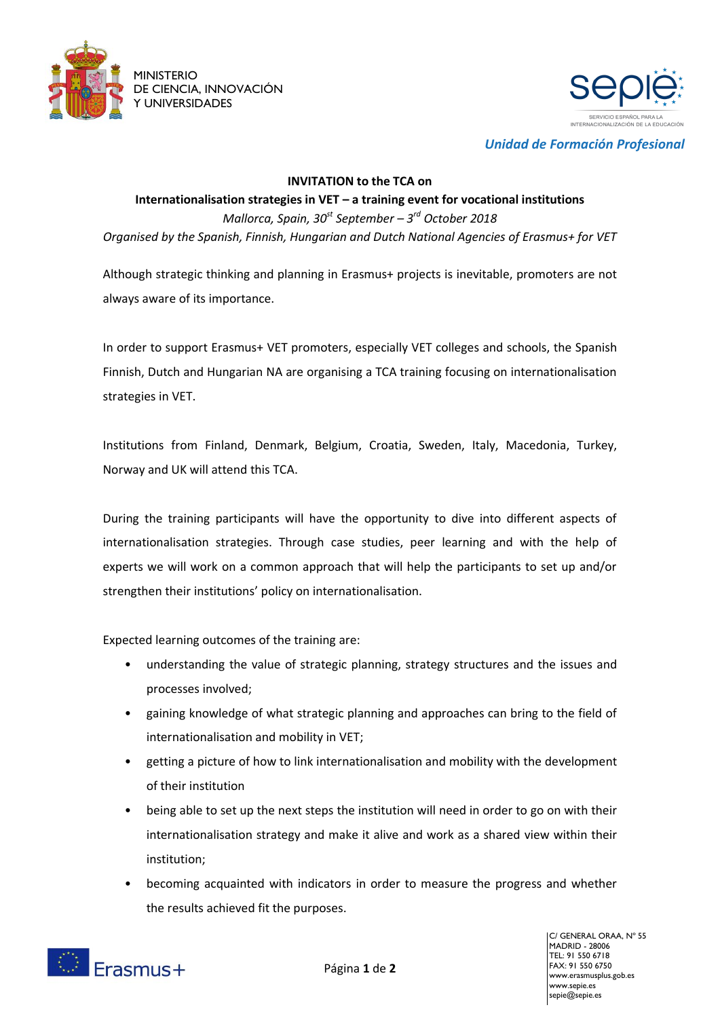



*Unidad de Formación Profesional*

#### **INVITATION to the TCA on**

# **Internationalisation strategies in VET – a training event for vocational institutions** *Mallorca, Spain, 30st September – 3 rd October 2018 Organised by the Spanish, Finnish, Hungarian and Dutch National Agencies of Erasmus+ for VET*

Although strategic thinking and planning in Erasmus+ projects is inevitable, promoters are not always aware of its importance.

In order to support Erasmus+ VET promoters, especially VET colleges and schools, the Spanish Finnish, Dutch and Hungarian NA are organising a TCA training focusing on internationalisation strategies in VET.

Institutions from Finland, Denmark, Belgium, Croatia, Sweden, Italy, Macedonia, Turkey, Norway and UK will attend this TCA.

During the training participants will have the opportunity to dive into different aspects of internationalisation strategies. Through case studies, peer learning and with the help of experts we will work on a common approach that will help the participants to set up and/or strengthen their institutions' policy on internationalisation.

Expected learning outcomes of the training are:

- understanding the value of strategic planning, strategy structures and the issues and processes involved;
- gaining knowledge of what strategic planning and approaches can bring to the field of internationalisation and mobility in VET;
- getting a picture of how to link internationalisation and mobility with the development of their institution
- being able to set up the next steps the institution will need in order to go on with their internationalisation strategy and make it alive and work as a shared view within their institution;
- becoming acquainted with indicators in order to measure the progress and whether the results achieved fit the purposes.